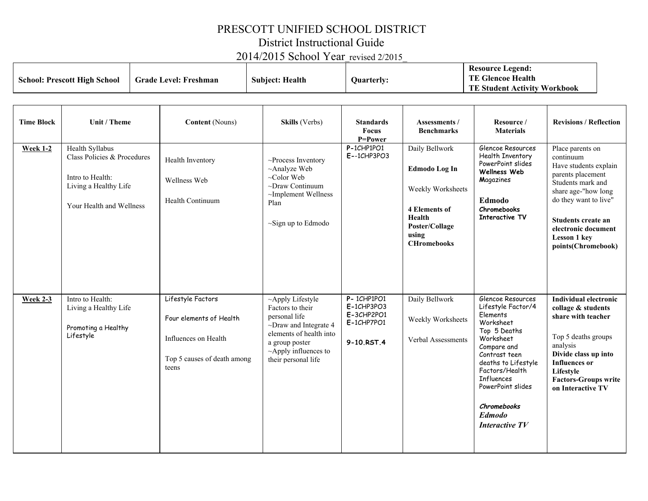## PRESCOTT UNIFIED SCHOOL DISTRICT

District Instructional Guide

2014/2015 School Year\_revised 2/2015\_

| <b>School: Prescott High School</b> |                                                                                                                         | <b>Grade Level: Freshman</b>                                                                                 | <b>Subject: Health</b>                                                                                                                                                                 | Quarterly:                                                             |                                                                                                                                  | <b>Resource Legend:</b><br><b>TE Glencoe Health</b><br><b>TE Student Activity Workbook</b>                                                                                                                                                                                |                                                                                                                                                                                                                                            |  |
|-------------------------------------|-------------------------------------------------------------------------------------------------------------------------|--------------------------------------------------------------------------------------------------------------|----------------------------------------------------------------------------------------------------------------------------------------------------------------------------------------|------------------------------------------------------------------------|----------------------------------------------------------------------------------------------------------------------------------|---------------------------------------------------------------------------------------------------------------------------------------------------------------------------------------------------------------------------------------------------------------------------|--------------------------------------------------------------------------------------------------------------------------------------------------------------------------------------------------------------------------------------------|--|
| <b>Time Block</b>                   | Unit / Theme                                                                                                            | <b>Content</b> (Nouns)                                                                                       | Skills (Verbs)                                                                                                                                                                         | <b>Standards</b><br><b>Focus</b><br>P=Power                            | <b>Assessments</b> /<br><b>Benchmarks</b>                                                                                        | Resource /<br><b>Materials</b>                                                                                                                                                                                                                                            | <b>Revisions / Reflection</b>                                                                                                                                                                                                              |  |
| <b>Week 1-2</b>                     | Health Syllabus<br>Class Policies & Procedures<br>Intro to Health:<br>Living a Healthy Life<br>Your Health and Wellness | Health Inventory<br>Wellness Web<br>Health Continuum                                                         | $\sim$ Process Inventory<br>~Analyze Web<br>~Color Web<br>$\sim$ Draw Continuum<br>~Implement Wellness<br>Plan<br>$\sim$ Sign up to Edmodo                                             | P-1CHP1PO1<br>$E - 1CHP3PO3$                                           | Daily Bellwork<br>Edmodo Log In<br>Weekly Worksheets<br>4 Elements of<br>Health<br>Poster/Collage<br>using<br><b>CHromebooks</b> | Glencoe Resources<br>Health Inventory<br>PowerPoint slides<br>Wellness Web<br>Magazines<br>Edmodo<br>Chromebooks<br><b>Interactive TV</b>                                                                                                                                 | Place parents on<br>continuum<br>Have students explain<br>parents placement<br>Students mark and<br>share age-"how long<br>do they want to live"<br>Students create an<br>electronic document<br><b>Lesson 1 key</b><br>points(Chromebook) |  |
| <b>Week 2-3</b>                     | Intro to Health:<br>Living a Healthy Life<br>Promoting a Healthy<br>Lifestyle                                           | Lifestyle Factors<br>Four elements of Health<br>Influences on Health<br>Top 5 causes of death among<br>teens | ~Apply Lifestyle<br>Factors to their<br>personal life<br>$\sim$ Draw and Integrate 4<br>elements of health into<br>a group poster<br>$\sim$ Apply influences to<br>their personal life | P-1CHP1PO1<br>$E-1CHP3PO3$<br>$E-3CHP2PO1$<br>E-1CHP7PO1<br>9-10.RST.4 | Daily Bellwork<br>Weekly Worksheets<br>Verbal Assessments                                                                        | Glencoe Resources<br>Lifestyle Factor/4<br>Elements<br>Worksheet<br>Top 5 Deaths<br>Worksheet<br>Compare and<br>Contrast teen<br>deaths to Lifestyle<br>Factors/Health<br><b>Influences</b><br>PowerPoint slides<br>Chromebooks<br><b>Edmodo</b><br><b>Interactive TV</b> | <b>Individual electronic</b><br>collage & students<br>share with teacher<br>Top 5 deaths groups<br>analysis<br>Divide class up into<br><b>Influences</b> or<br>Lifestyle<br><b>Factors-Groups write</b><br>on Interactive TV               |  |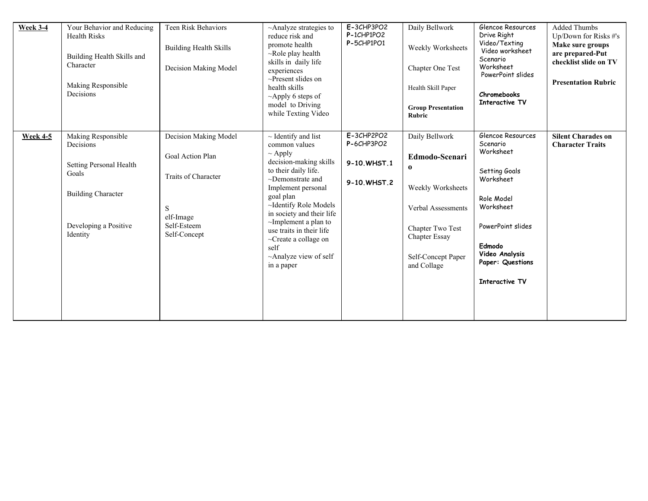| <b>Week 3-4</b> | Your Behavior and Reducing<br><b>Health Risks</b><br>Building Health Skills and<br>Character<br>Making Responsible<br>Decisions       | Teen Risk Behaviors<br><b>Building Health Skills</b><br>Decision Making Model                                     | ~Analyze strategies to<br>reduce risk and<br>promote health<br>$\sim$ Role play health<br>skills in daily life<br>experiences<br>$\sim$ Present slides on<br>health skills<br>$\sim$ Apply 6 steps of<br>model to Driving<br>while Texting Video                                                                                                                      | E-3CHP3PO2<br>P-1CHP1PO2<br>P-5CHP1PO1                   | Daily Bellwork<br>Weekly Worksheets<br>Chapter One Test<br>Health Skill Paper<br><b>Group Presentation</b><br><b>Rubric</b>                                              | Glencoe Resources<br>Drive Right<br>Video/Texting<br>Video worksheet<br>Scenario<br>Worksheet<br>PowerPoint slides<br>Chromebooks<br><b>Interactive TV</b>                                 | <b>Added Thumbs</b><br>Up/Down for Risks #'s<br>Make sure groups<br>are prepared-Put<br>checklist slide on TV<br><b>Presentation Rubric</b> |
|-----------------|---------------------------------------------------------------------------------------------------------------------------------------|-------------------------------------------------------------------------------------------------------------------|-----------------------------------------------------------------------------------------------------------------------------------------------------------------------------------------------------------------------------------------------------------------------------------------------------------------------------------------------------------------------|----------------------------------------------------------|--------------------------------------------------------------------------------------------------------------------------------------------------------------------------|--------------------------------------------------------------------------------------------------------------------------------------------------------------------------------------------|---------------------------------------------------------------------------------------------------------------------------------------------|
| <b>Week 4-5</b> | Making Responsible<br>Decisions<br>Setting Personal Health<br>Goals<br><b>Building Character</b><br>Developing a Positive<br>Identity | Decision Making Model<br>Goal Action Plan<br>Traits of Character<br>S<br>elf-Image<br>Self-Esteem<br>Self-Concept | $\sim$ Identify and list<br>common values<br>$\sim$ Apply<br>decision-making skills<br>to their daily life.<br>$\sim$ Demonstrate and<br>Implement personal<br>goal plan<br>~Identify Role Models<br>in society and their life<br>$\sim$ Implement a plan to<br>use traits in their life<br>~Create a collage on<br>self<br>$\sim$ Analyze view of self<br>in a paper | $E-3CHP2PO2$<br>P-6CHP3PO2<br>9-10.WHST.1<br>9-10.WHST.2 | Daily Bellwork<br>Edmodo-Scenari<br>$\bf{0}$<br>Weekly Worksheets<br>Verbal Assessments<br>Chapter Two Test<br><b>Chapter Essay</b><br>Self-Concept Paper<br>and Collage | Glencoe Resources<br>Scenario<br>Worksheet<br>Setting Goals<br>Worksheet<br>Role Model<br>Worksheet<br>PowerPoint slides<br>Edmodo<br>Video Analysis<br>Paper: Questions<br>Interactive TV | <b>Silent Charades on</b><br><b>Character Traits</b>                                                                                        |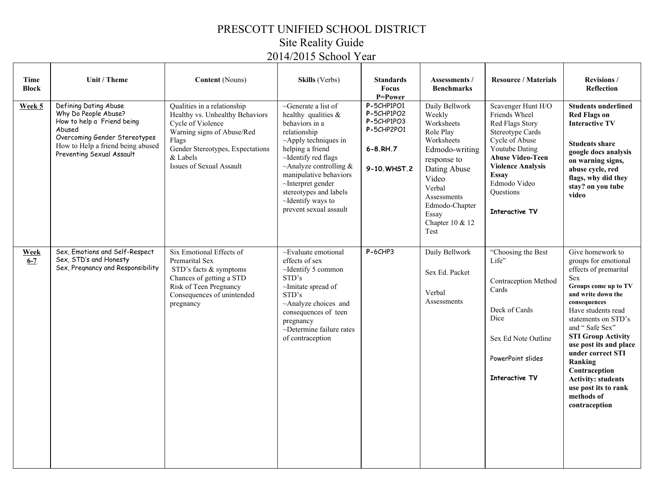## PRESCOTT UNIFIED SCHOOL DISTRICT Site Reality Guide 2014/2015 School Year

| Time<br><b>Block</b>   | Unit / Theme                                                                                                                                                                             | <b>Content</b> (Nouns)                                                                                                                                                                                        | <b>Skills</b> (Verbs)                                                                                                                                                                                                                                                                                                     | <b>Standards</b><br><b>Focus</b><br>P=Power                                           | Assessments /<br><b>Benchmarks</b>                                                                                                                                                                         | <b>Resource / Materials</b>                                                                                                                                                                                                                 | <b>Revisions /</b><br><b>Reflection</b>                                                                                                                                                                                                                                                                                                                                                                  |
|------------------------|------------------------------------------------------------------------------------------------------------------------------------------------------------------------------------------|---------------------------------------------------------------------------------------------------------------------------------------------------------------------------------------------------------------|---------------------------------------------------------------------------------------------------------------------------------------------------------------------------------------------------------------------------------------------------------------------------------------------------------------------------|---------------------------------------------------------------------------------------|------------------------------------------------------------------------------------------------------------------------------------------------------------------------------------------------------------|---------------------------------------------------------------------------------------------------------------------------------------------------------------------------------------------------------------------------------------------|----------------------------------------------------------------------------------------------------------------------------------------------------------------------------------------------------------------------------------------------------------------------------------------------------------------------------------------------------------------------------------------------------------|
| Week 5                 | Defining Dating Abuse<br>Why Do People Abuse?<br>How to help a Friend being<br>Abused<br>Overcoming Gender Stereotypes<br>How to Help a friend being abused<br>Preventing Sexual Assault | Qualities in a relationship<br>Healthy vs. Unhealthy Behaviors<br>Cycle of Violence<br>Warning signs of Abuse/Red<br>Flags<br>Gender Stereotypes, Expectations<br>& Labels<br><b>Issues of Sexual Assault</b> | ~Generate a list of<br>healthy qualities $\&$<br>behaviors in a<br>relationship<br>$~\sim$ Apply techniques in<br>helping a friend<br>~Identify red flags<br>~Analyze controlling $&$<br>manipulative behaviors<br>$\sim$ Interpret gender<br>stereotypes and labels<br>$\sim$ Identify ways to<br>prevent sexual assault | $P-5CHP1PO1$<br>P-5CHP1PO2<br>P-5CHP1PO3<br>P-5CHP2PO1<br>$6 - 8.RH.7$<br>9-10.WHST.2 | Daily Bellwork<br>Weekly<br>Worksheets<br>Role Play<br>Worksheets<br>Edmodo-writing<br>response to<br>Dating Abuse<br>Video<br>Verbal<br>Assessments<br>Edmodo-Chapter<br>Essay<br>Chapter 10 & 12<br>Test | Scavenger Hunt H/O<br>Friends Wheel<br>Red Flags Story<br><b>Stereotype Cards</b><br>Cycle of Abuse<br>Youtube Dating<br><b>Abuse Video-Teen</b><br><b>Violence Analysis</b><br><b>Essay</b><br>Edmodo Video<br>Questions<br>Interactive TV | <b>Students underlined</b><br><b>Red Flags on</b><br><b>Interactive TV</b><br><b>Students share</b><br>google docs analysis<br>on warning signs,<br>abuse cycle, red<br>flags, why did they<br>stay? on you tube<br>video                                                                                                                                                                                |
| <b>Week</b><br>$6 - 7$ | Sex, Emotions and Self-Respect<br>Sex, STD's and Honesty<br>Sex, Pregnancy and Responsibility                                                                                            | Six Emotional Effects of<br><b>Premarital Sex</b><br>STD's facts & symptoms<br>Chances of getting a STD<br>Risk of Teen Pregnancy<br>Consequences of unintended<br>pregnancy                                  | $\sim$ Evaluate emotional<br>effects of sex<br>$\sim$ Identify 5 common<br>STD's<br>~Imitate spread of<br>STD's<br>$~\sim$ Analyze choices and<br>consequences of teen<br>pregnancy<br>~Determine failure rates<br>of contraception                                                                                       | $P-6CHP3$                                                                             | Daily Bellwork<br>Sex Ed. Packet<br>Verbal<br>Assessments                                                                                                                                                  | "Choosing the Best<br>Life"<br>Contraception Method<br>Cards<br>Deck of Cards<br>Dice<br>Sex Ed Note Outline<br>PowerPoint slides<br><b>Interactive TV</b>                                                                                  | Give homework to<br>groups for emotional<br>effects of premarital<br><b>Sex</b><br>Groups come up to TV<br>and write down the<br>consequences<br>Have students read<br>statements on STD's<br>and "Safe Sex"<br><b>STI Group Activity</b><br>use post its and place<br>under correct STI<br>Ranking<br>Contraception<br><b>Activity: students</b><br>use post its to rank<br>methods of<br>contraception |